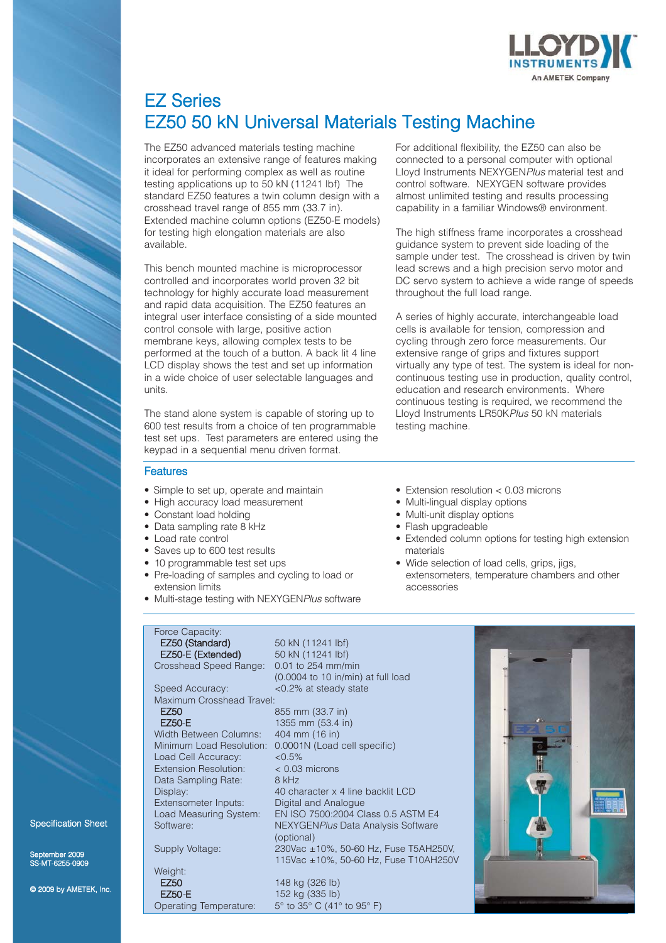

# EZ Series EZ50 50 kN Universal Materials Testing Machine

The EZ50 advanced materials testing machine incorporates an extensive range of features making it ideal for performing complex as well as routine testing applications up to 50 kN (11241 lbf) The standard EZ50 features a twin column design with a crosshead travel range of 855 mm (33.7 in). Extended machine column options (EZ50-E models) for testing high elongation materials are also available.

This bench mounted machine is microprocessor controlled and incorporates world proven 32 bit technology for highly accurate load measurement and rapid data acquisition. The EZ50 features an integral user interface consisting of a side mounted control console with large, positive action membrane keys, allowing complex tests to be performed at the touch of a button. A back lit 4 line LCD display shows the test and set up information in a wide choice of user selectable languages and units.

The stand alone system is capable of storing up to 600 test results from a choice of ten programmable test set ups. Test parameters are entered using the keypad in a sequential menu driven format.

For additional flexibility, the EZ50 can also be connected to a personal computer with optional Lloyd Instruments NEXYGEN*Plus* material test and control software. NEXYGEN software provides almost unlimited testing and results processing capability in a familiar Windows® environment.

The high stiffness frame incorporates a crosshead guidance system to prevent side loading of the sample under test. The crosshead is driven by twin lead screws and a high precision servo motor and DC servo system to achieve a wide range of speeds throughout the full load range.

A series of highly accurate, interchangeable load cells is available for tension, compression and cycling through zero force measurements. Our extensive range of grips and fixtures support virtually any type of test. The system is ideal for noncontinuous testing use in production, quality control, education and research environments. Where continuous testing is required, we recommend the Lloyd Instruments LR50K*Plus* 50 kN materials testing machine.

- **Features**
- Simple to set up, operate and maintain
- High accuracy load measurement
- Constant load holding
- Data sampling rate 8 kHz
- Load rate control
- Saves up to 600 test results
- 10 programmable test set ups
- Pre-loading of samples and cycling to load or extension limits
- Multi-stage testing with NEXYGEN*Plus* software
- Extension resolution < 0.03 microns
- Multi-lingual display options
- Multi-unit display options
- Flash upgradeable
- Extended column options for testing high extension materials
- Wide selection of load cells, grips, jigs, extensometers, temperature chambers and other accessories

# Force Capacity:<br>**EZ50 (Standard)**

EZ50-E (Extended)

Maximum Crosshead Travel:

Width Between Columns: 404 mm (16 in) Load Cell Accuracy:  $< 0.5\%$ <br>Extension Besolution:  $< 0.03$  microns Extension Resolution: Data Sampling Rate: 8 kHz Extensometer Inputs:

mber 2009  $S-MT-6255-0909$ 

Specification Sheet

© 2009 by AMETEK, Inc.

Weight: **EZ50** 148 kg (326 lb) **EZ50-E** 152 kg (335 lb) Operating Temperature: 5° to 35° C (41° to 95° F)

50 kN (11241 lbf)<br>50 kN (11241 lbf) Crosshead Speed Range: 0.01 to 254 mm/min (0.0004 to 10 in/min) at full load Speed Accuracy: <0.2% at steady state

EZ50 855 mm (33.7 in)<br>EZ50-E 1355 mm (53.4 in 1355 mm (53.4 in) Minimum Load Resolution: 0.0001N (Load cell specific) Display:  $\frac{40 \text{ character } x \text{ 4 line backlit LCD}}{20 \text{ digital and Analogue}}$ Load Measuring System: EN ISO 7500:2004 Class 0.5 ASTM E4 Software: NEXYGEN*Plus* Data Analysis Software (optional) Supply Voltage: 230Vac ±10%, 50-60 Hz, Fuse T5AH250V, 115Vac ±10%, 50-60 Hz, Fuse T10AH250V